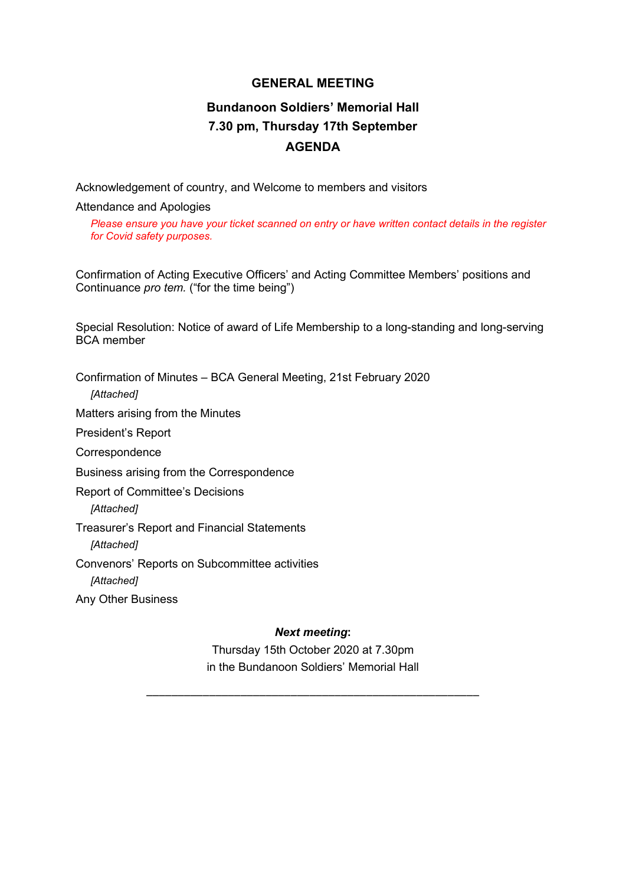#### **GENERAL MEETING**

## **Bundanoon Soldiers' Memorial Hall 7.30 pm, Thursday 17th September AGENDA**

Acknowledgement of country, and Welcome to members and visitors

Attendance and Apologies

*Please ensure you have your ticket scanned on entry or have written contact details in the register for Covid safety purposes.*

Confirmation of Acting Executive Officers' and Acting Committee Members' positions and Continuance *pro tem.* ("for the time being")

Special Resolution: Notice of award of Life Membership to a long-standing and long-serving BCA member

Confirmation of Minutes – BCA General Meeting, 21st February 2020 *[Attached]* Matters arising from the Minutes President's Report **Correspondence** Business arising from the Correspondence Report of Committee's Decisions *[Attached]* Treasurer's Report and Financial Statements *[Attached]* Convenors' Reports on Subcommittee activities *[Attached]* Any Other Business

*Next meeting***:**

Thursday 15th October 2020 at 7.30pm in the Bundanoon Soldiers' Memorial Hall

\_\_\_\_\_\_\_\_\_\_\_\_\_\_\_\_\_\_\_\_\_\_\_\_\_\_\_\_\_\_\_\_\_\_\_\_\_\_\_\_\_\_\_\_\_\_\_\_\_\_\_\_\_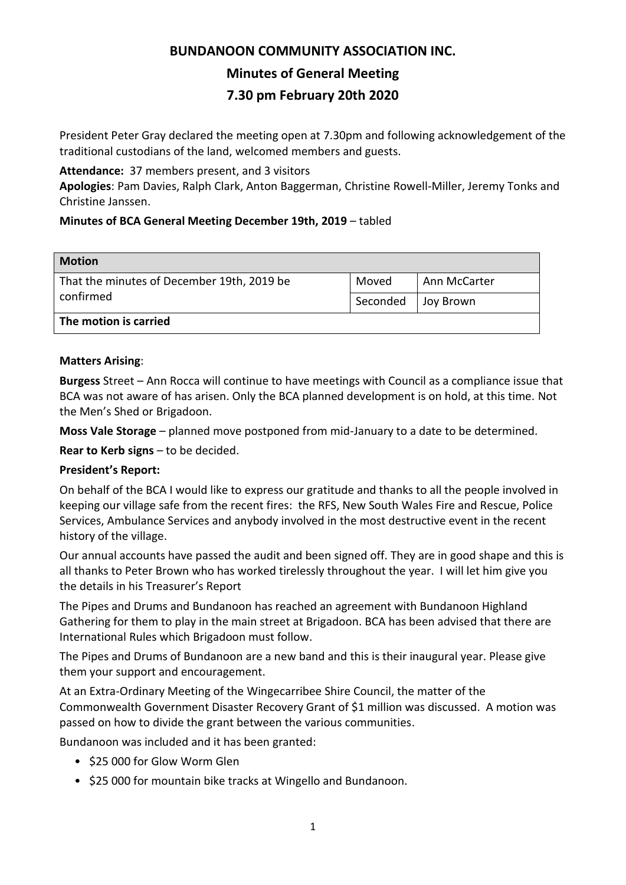# **BUNDANOON COMMUNITY ASSOCIATION INC. Minutes of General Meeting 7.30 pm February 20th 2020**

President Peter Gray declared the meeting open at 7.30pm and following acknowledgement of the traditional custodians of the land, welcomed members and guests.

#### **Attendance:** 37 members present, and 3 visitors

**Apologies**: Pam Davies, Ralph Clark, Anton Baggerman, Christine Rowell-Miller, Jeremy Tonks and Christine Janssen.

### **Minutes of BCA General Meeting December 19th, 2019** – tabled

| <b>Motion</b>                                           |          |              |
|---------------------------------------------------------|----------|--------------|
| That the minutes of December 19th, 2019 be<br>confirmed | Moved    | Ann McCarter |
|                                                         | Seconded | Joy Brown    |
| The motion is carried                                   |          |              |

#### **Matters Arising**:

**Burgess** Street – Ann Rocca will continue to have meetings with Council as a compliance issue that BCA was not aware of has arisen. Only the BCA planned development is on hold, at this time. Not the Men's Shed or Brigadoon.

**Moss Vale Storage** – planned move postponed from mid-January to a date to be determined.

**Rear to Kerb signs** – to be decided.

### **President's Report:**

On behalf of the BCA I would like to express our gratitude and thanks to all the people involved in keeping our village safe from the recent fires: the RFS, New South Wales Fire and Rescue, Police Services, Ambulance Services and anybody involved in the most destructive event in the recent history of the village.

Our annual accounts have passed the audit and been signed off. They are in good shape and this is all thanks to Peter Brown who has worked tirelessly throughout the year. I will let him give you the details in his Treasurer's Report

The Pipes and Drums and Bundanoon has reached an agreement with Bundanoon Highland Gathering for them to play in the main street at Brigadoon. BCA has been advised that there are International Rules which Brigadoon must follow.

The Pipes and Drums of Bundanoon are a new band and this is their inaugural year. Please give them your support and encouragement.

At an Extra-Ordinary Meeting of the Wingecarribee Shire Council, the matter of the Commonwealth Government Disaster Recovery Grant of \$1 million was discussed. A motion was passed on how to divide the grant between the various communities.

Bundanoon was included and it has been granted:

- \$25 000 for Glow Worm Glen
- \$25 000 for mountain bike tracks at Wingello and Bundanoon.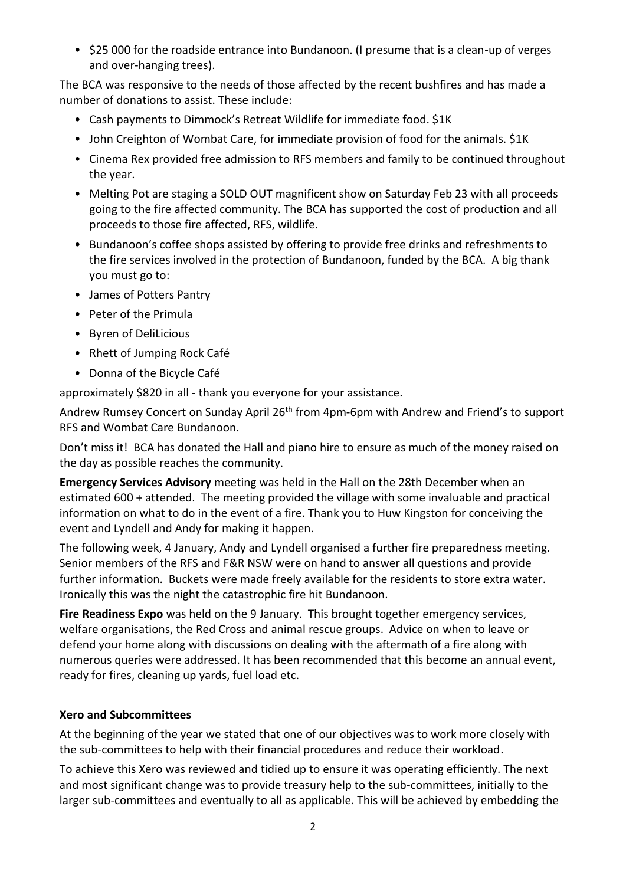• \$25 000 for the roadside entrance into Bundanoon. (I presume that is a clean-up of verges and over-hanging trees).

The BCA was responsive to the needs of those affected by the recent bushfires and has made a number of donations to assist. These include:

- Cash payments to Dimmock's Retreat Wildlife for immediate food. \$1K
- John Creighton of Wombat Care, for immediate provision of food for the animals. \$1K
- Cinema Rex provided free admission to RFS members and family to be continued throughout the year.
- Melting Pot are staging a SOLD OUT magnificent show on Saturday Feb 23 with all proceeds going to the fire affected community. The BCA has supported the cost of production and all proceeds to those fire affected, RFS, wildlife.
- Bundanoon's coffee shops assisted by offering to provide free drinks and refreshments to the fire services involved in the protection of Bundanoon, funded by the BCA. A big thank you must go to:
- James of Potters Pantry
- Peter of the Primula
- Byren of DeliLicious
- Rhett of Jumping Rock Café
- Donna of the Bicycle Café

approximately \$820 in all - thank you everyone for your assistance.

Andrew Rumsey Concert on Sunday April 26<sup>th</sup> from 4pm-6pm with Andrew and Friend's to support RFS and Wombat Care Bundanoon.

Don't miss it! BCA has donated the Hall and piano hire to ensure as much of the money raised on the day as possible reaches the community.

**Emergency Services Advisory** meeting was held in the Hall on the 28th December when an estimated 600 + attended. The meeting provided the village with some invaluable and practical information on what to do in the event of a fire. Thank you to Huw Kingston for conceiving the event and Lyndell and Andy for making it happen.

The following week, 4 January, Andy and Lyndell organised a further fire preparedness meeting. Senior members of the RFS and F&R NSW were on hand to answer all questions and provide further information. Buckets were made freely available for the residents to store extra water. Ironically this was the night the catastrophic fire hit Bundanoon.

**Fire Readiness Expo** was held on the 9 January. This brought together emergency services, welfare organisations, the Red Cross and animal rescue groups. Advice on when to leave or defend your home along with discussions on dealing with the aftermath of a fire along with numerous queries were addressed. It has been recommended that this become an annual event, ready for fires, cleaning up yards, fuel load etc.

#### **Xero and Subcommittees**

At the beginning of the year we stated that one of our objectives was to work more closely with the sub-committees to help with their financial procedures and reduce their workload.

To achieve this Xero was reviewed and tidied up to ensure it was operating efficiently. The next and most significant change was to provide treasury help to the sub-committees, initially to the larger sub-committees and eventually to all as applicable. This will be achieved by embedding the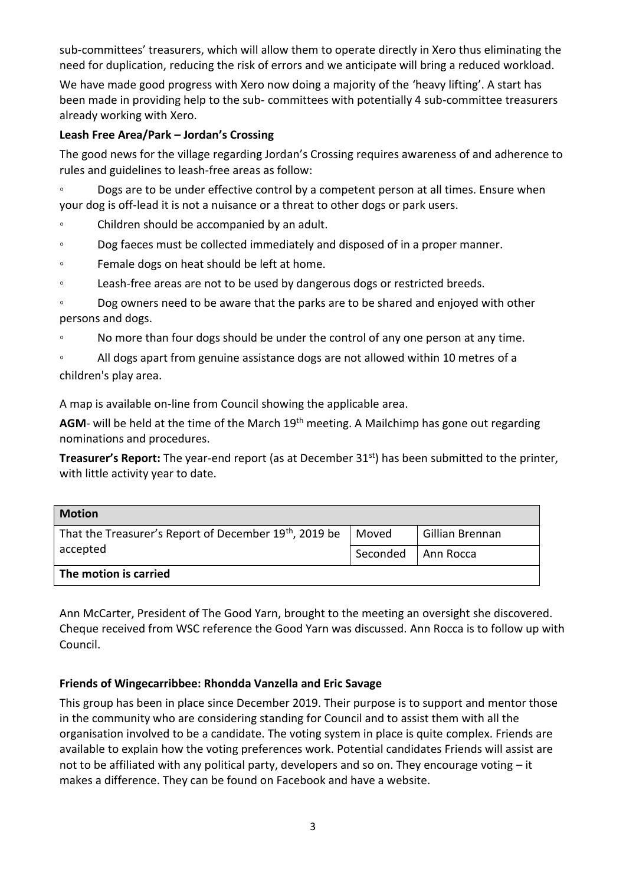sub-committees' treasurers, which will allow them to operate directly in Xero thus eliminating the need for duplication, reducing the risk of errors and we anticipate will bring a reduced workload.

We have made good progress with Xero now doing a majority of the 'heavy lifting'. A start has been made in providing help to the sub- committees with potentially 4 sub-committee treasurers already working with Xero.

#### **Leash Free Area/Park – Jordan's Crossing**

The good news for the village regarding Jordan's Crossing requires awareness of and adherence to rules and guidelines to leash-free areas as follow:

◦ Dogs are to be under effective control by a competent person at all times. Ensure when your dog is off-lead it is not a nuisance or a threat to other dogs or park users.

- Children should be accompanied by an adult.
- Dog faeces must be collected immediately and disposed of in a proper manner.
- Female dogs on heat should be left at home.
- Leash-free areas are not to be used by dangerous dogs or restricted breeds.

◦ Dog owners need to be aware that the parks are to be shared and enjoyed with other persons and dogs.

◦ No more than four dogs should be under the control of any one person at any time.

◦ All dogs apart from genuine assistance dogs are not allowed within 10 metres of a children's play area.

A map is available on-line from Council showing the applicable area.

AGM- will be held at the time of the March 19<sup>th</sup> meeting. A Mailchimp has gone out regarding nominations and procedures.

**Treasurer's Report:** The year-end report (as at December 31st) has been submitted to the printer, with little activity year to date.

| <b>Motion</b>                                                     |          |                 |
|-------------------------------------------------------------------|----------|-----------------|
| That the Treasurer's Report of December 19th, 2019 be<br>accepted | Moved    | Gillian Brennan |
|                                                                   | Seconded | Ann Rocca       |
| The motion is carried                                             |          |                 |

Ann McCarter, President of The Good Yarn, brought to the meeting an oversight she discovered. Cheque received from WSC reference the Good Yarn was discussed. Ann Rocca is to follow up with Council.

#### **Friends of Wingecarribbee: Rhondda Vanzella and Eric Savage**

This group has been in place since December 2019. Their purpose is to support and mentor those in the community who are considering standing for Council and to assist them with all the organisation involved to be a candidate. The voting system in place is quite complex. Friends are available to explain how the voting preferences work. Potential candidates Friends will assist are not to be affiliated with any political party, developers and so on. They encourage voting  $-$  it makes a difference. They can be found on Facebook and have a website.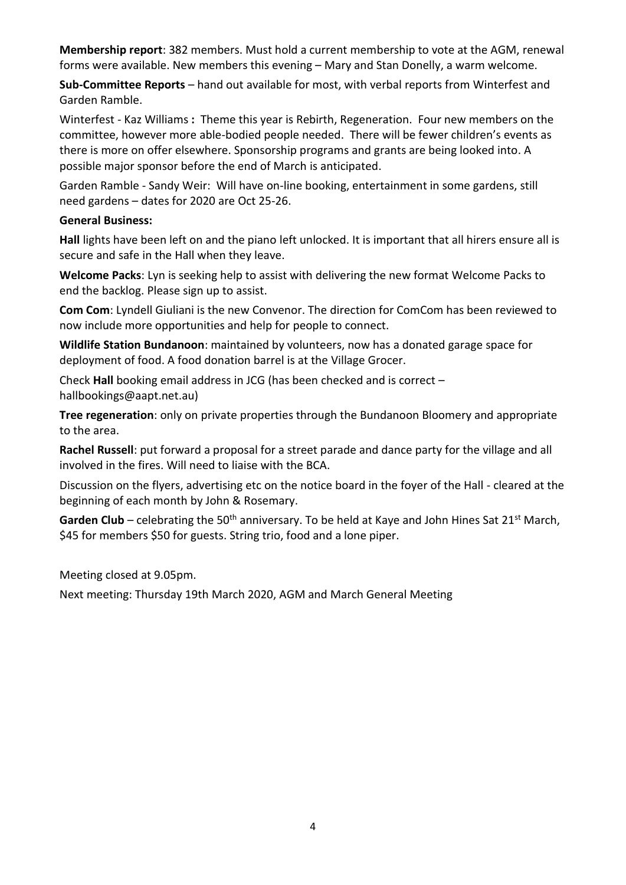**Membership report**: 382 members. Must hold a current membership to vote at the AGM, renewal forms were available. New members this evening – Mary and Stan Donelly, a warm welcome.

**Sub-Committee Reports** – hand out available for most, with verbal reports from Winterfest and Garden Ramble.

Winterfest - Kaz Williams **:** Theme this year is Rebirth, Regeneration. Four new members on the committee, however more able-bodied people needed. There will be fewer children's events as there is more on offer elsewhere. Sponsorship programs and grants are being looked into. A possible major sponsor before the end of March is anticipated.

Garden Ramble - Sandy Weir: Will have on-line booking, entertainment in some gardens, still need gardens – dates for 2020 are Oct 25-26.

#### **General Business:**

**Hall** lights have been left on and the piano left unlocked. It is important that all hirers ensure all is secure and safe in the Hall when they leave.

**Welcome Packs**: Lyn is seeking help to assist with delivering the new format Welcome Packs to end the backlog. Please sign up to assist.

**Com Com**: Lyndell Giuliani is the new Convenor. The direction for ComCom has been reviewed to now include more opportunities and help for people to connect.

**Wildlife Station Bundanoon**: maintained by volunteers, now has a donated garage space for deployment of food. A food donation barrel is at the Village Grocer.

Check **Hall** booking email address in JCG (has been checked and is correct – hallbookings@aapt.net.au)

**Tree regeneration**: only on private properties through the Bundanoon Bloomery and appropriate to the area.

**Rachel Russell**: put forward a proposal for a street parade and dance party for the village and all involved in the fires. Will need to liaise with the BCA.

Discussion on the flyers, advertising etc on the notice board in the foyer of the Hall - cleared at the beginning of each month by John & Rosemary.

Garden Club – celebrating the 50<sup>th</sup> anniversary. To be held at Kaye and John Hines Sat 21<sup>st</sup> March, \$45 for members \$50 for guests. String trio, food and a lone piper.

Meeting closed at 9.05pm.

Next meeting: Thursday 19th March 2020, AGM and March General Meeting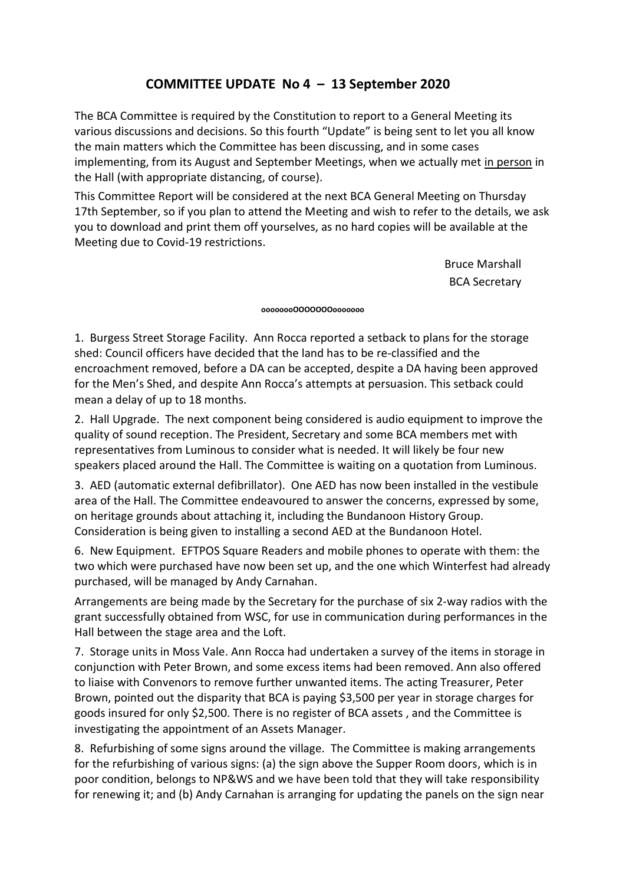## **COMMITTEE UPDATE No 4 – 13 September 2020**

The BCA Committee is required by the Constitution to report to a General Meeting its various discussions and decisions. So this fourth "Update" is being sent to let you all know the main matters which the Committee has been discussing, and in some cases implementing, from its August and September Meetings, when we actually met in person in the Hall (with appropriate distancing, of course).

This Committee Report will be considered at the next BCA General Meeting on Thursday 17th September, so if you plan to attend the Meeting and wish to refer to the details, we ask you to download and print them off yourselves, as no hard copies will be available at the Meeting due to Covid-19 restrictions.

> Bruce Marshall BCA Secretary

#### **oooooooOOOOOOOooooooo**

1. Burgess Street Storage Facility. Ann Rocca reported a setback to plans for the storage shed: Council officers have decided that the land has to be re-classified and the encroachment removed, before a DA can be accepted, despite a DA having been approved for the Men's Shed, and despite Ann Rocca's attempts at persuasion. This setback could mean a delay of up to 18 months.

2. Hall Upgrade. The next component being considered is audio equipment to improve the quality of sound reception. The President, Secretary and some BCA members met with representatives from Luminous to consider what is needed. It will likely be four new speakers placed around the Hall. The Committee is waiting on a quotation from Luminous.

3. AED (automatic external defibrillator). One AED has now been installed in the vestibule area of the Hall. The Committee endeavoured to answer the concerns, expressed by some, on heritage grounds about attaching it, including the Bundanoon History Group. Consideration is being given to installing a second AED at the Bundanoon Hotel.

6. New Equipment. EFTPOS Square Readers and mobile phones to operate with them: the two which were purchased have now been set up, and the one which Winterfest had already purchased, will be managed by Andy Carnahan.

Arrangements are being made by the Secretary for the purchase of six 2-way radios with the grant successfully obtained from WSC, for use in communication during performances in the Hall between the stage area and the Loft.

7. Storage units in Moss Vale. Ann Rocca had undertaken a survey of the items in storage in conjunction with Peter Brown, and some excess items had been removed. Ann also offered to liaise with Convenors to remove further unwanted items. The acting Treasurer, Peter Brown, pointed out the disparity that BCA is paying \$3,500 per year in storage charges for goods insured for only \$2,500. There is no register of BCA assets , and the Committee is investigating the appointment of an Assets Manager.

8. Refurbishing of some signs around the village. The Committee is making arrangements for the refurbishing of various signs: (a) the sign above the Supper Room doors, which is in poor condition, belongs to NP&WS and we have been told that they will take responsibility for renewing it; and (b) Andy Carnahan is arranging for updating the panels on the sign near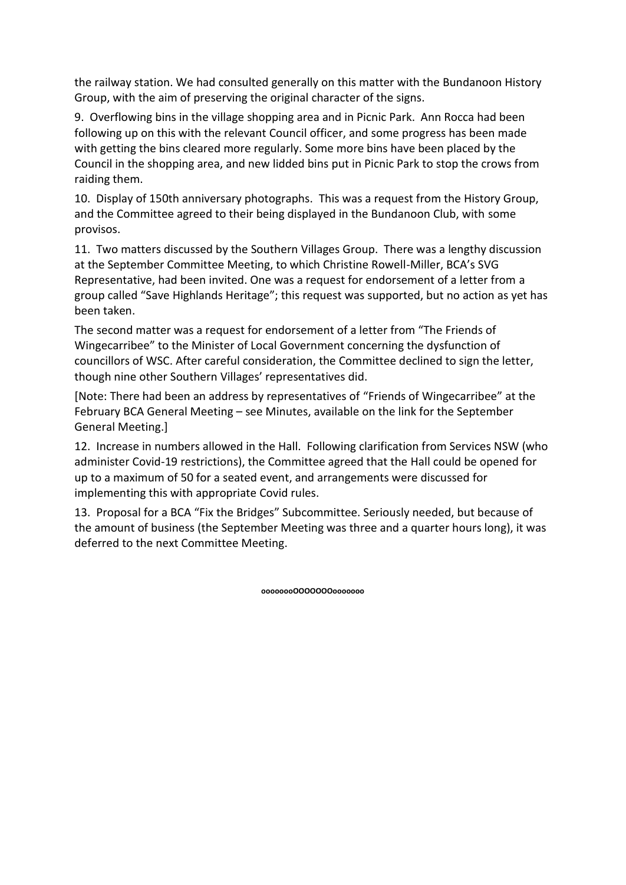the railway station. We had consulted generally on this matter with the Bundanoon History Group, with the aim of preserving the original character of the signs.

9. Overflowing bins in the village shopping area and in Picnic Park. Ann Rocca had been following up on this with the relevant Council officer, and some progress has been made with getting the bins cleared more regularly. Some more bins have been placed by the Council in the shopping area, and new lidded bins put in Picnic Park to stop the crows from raiding them.

10. Display of 150th anniversary photographs. This was a request from the History Group, and the Committee agreed to their being displayed in the Bundanoon Club, with some provisos.

11. Two matters discussed by the Southern Villages Group. There was a lengthy discussion at the September Committee Meeting, to which Christine Rowell-Miller, BCA's SVG Representative, had been invited. One was a request for endorsement of a letter from a group called "Save Highlands Heritage"; this request was supported, but no action as yet has been taken.

The second matter was a request for endorsement of a letter from "The Friends of Wingecarribee" to the Minister of Local Government concerning the dysfunction of councillors of WSC. After careful consideration, the Committee declined to sign the letter, though nine other Southern Villages' representatives did.

[Note: There had been an address by representatives of "Friends of Wingecarribee" at the February BCA General Meeting – see Minutes, available on the link for the September General Meeting.]

12. Increase in numbers allowed in the Hall. Following clarification from Services NSW (who administer Covid-19 restrictions), the Committee agreed that the Hall could be opened for up to a maximum of 50 for a seated event, and arrangements were discussed for implementing this with appropriate Covid rules.

13. Proposal for a BCA "Fix the Bridges" Subcommittee. Seriously needed, but because of the amount of business (the September Meeting was three and a quarter hours long), it was deferred to the next Committee Meeting.

**oooooooOOOOOOOooooooo**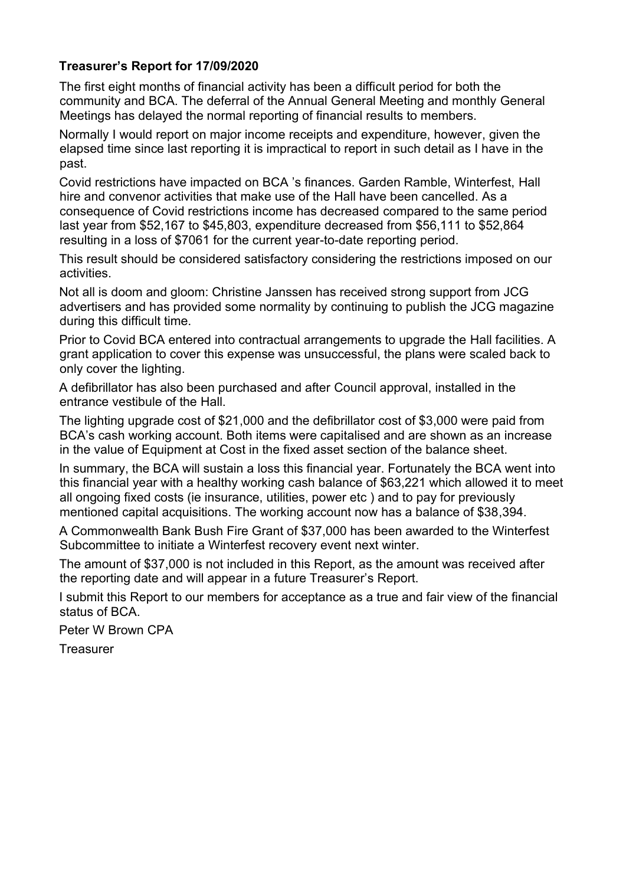## **Treasurer's Report for 17/09/2020**

The first eight months of financial activity has been a difficult period for both the community and BCA. The deferral of the Annual General Meeting and monthly General Meetings has delayed the normal reporting of financial results to members.

Normally I would report on major income receipts and expenditure, however, given the elapsed time since last reporting it is impractical to report in such detail as I have in the past.

Covid restrictions have impacted on BCA 's finances. Garden Ramble, Winterfest, Hall hire and convenor activities that make use of the Hall have been cancelled. As a consequence of Covid restrictions income has decreased compared to the same period last year from \$52,167 to \$45,803, expenditure decreased from \$56,111 to \$52,864 resulting in a loss of \$7061 for the current year-to-date reporting period.

This result should be considered satisfactory considering the restrictions imposed on our activities.

Not all is doom and gloom: Christine Janssen has received strong support from JCG advertisers and has provided some normality by continuing to publish the JCG magazine during this difficult time.

Prior to Covid BCA entered into contractual arrangements to upgrade the Hall facilities. A grant application to cover this expense was unsuccessful, the plans were scaled back to only cover the lighting.

A defibrillator has also been purchased and after Council approval, installed in the entrance vestibule of the Hall.

The lighting upgrade cost of \$21,000 and the defibrillator cost of \$3,000 were paid from BCA's cash working account. Both items were capitalised and are shown as an increase in the value of Equipment at Cost in the fixed asset section of the balance sheet.

In summary, the BCA will sustain a loss this financial year. Fortunately the BCA went into this financial year with a healthy working cash balance of \$63,221 which allowed it to meet all ongoing fixed costs (ie insurance, utilities, power etc ) and to pay for previously mentioned capital acquisitions. The working account now has a balance of \$38,394.

A Commonwealth Bank Bush Fire Grant of \$37,000 has been awarded to the Winterfest Subcommittee to initiate a Winterfest recovery event next winter.

The amount of \$37,000 is not included in this Report, as the amount was received after the reporting date and will appear in a future Treasurer's Report.

I submit this Report to our members for acceptance as a true and fair view of the financial status of BCA.

Peter W Brown CPA

**Treasurer**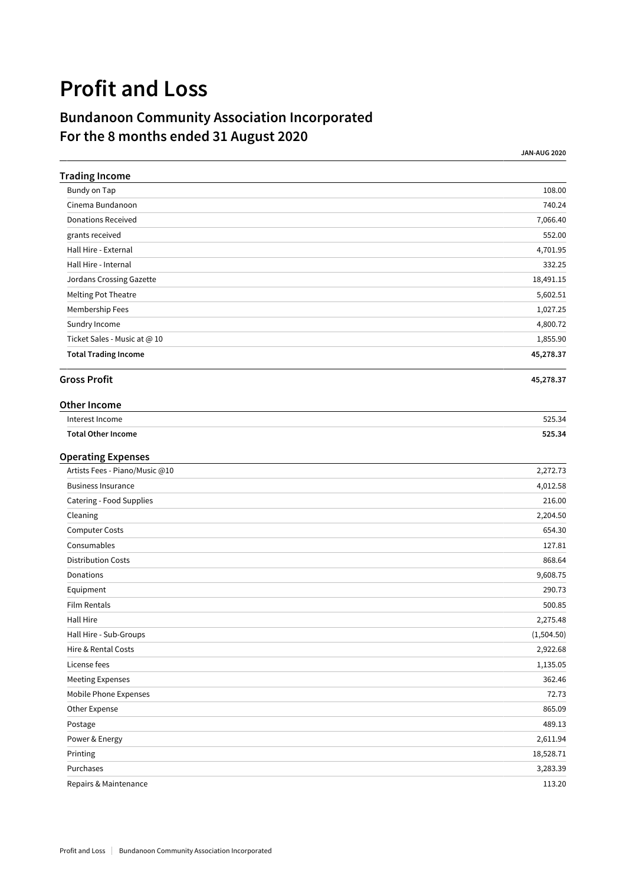# **Profit and Loss**

# **Bundanoon Community Association Incorporated For the 8 months ended 31 August 2020**

**JAN-AUG 2020**

| <b>Trading Income</b>          |            |
|--------------------------------|------------|
| Bundy on Tap                   | 108.00     |
| Cinema Bundanoon               | 740.24     |
| <b>Donations Received</b>      | 7,066.40   |
| grants received                | 552.00     |
| Hall Hire - External           | 4,701.95   |
| Hall Hire - Internal           | 332.25     |
| Jordans Crossing Gazette       | 18,491.15  |
| Melting Pot Theatre            | 5,602.51   |
| Membership Fees                | 1,027.25   |
| Sundry Income                  | 4,800.72   |
| Ticket Sales - Music at @ 10   | 1,855.90   |
| <b>Total Trading Income</b>    | 45,278.37  |
| <b>Gross Profit</b>            | 45,278.37  |
| <b>Other Income</b>            |            |
| Interest Income                | 525.34     |
| <b>Total Other Income</b>      | 525.34     |
| <b>Operating Expenses</b>      |            |
| Artists Fees - Piano/Music @10 | 2,272.73   |
| <b>Business Insurance</b>      | 4,012.58   |
| Catering - Food Supplies       | 216.00     |
| Cleaning                       | 2,204.50   |
| Computer Costs                 | 654.30     |
| Consumables                    | 127.81     |
| <b>Distribution Costs</b>      | 868.64     |
| Donations                      | 9,608.75   |
| Equipment                      | 290.73     |
| Film Rentals                   | 500.85     |
| Hall Hire                      | 2,275.48   |
| Hall Hire - Sub-Groups         | (1,504.50) |
| Hire & Rental Costs            | 2,922.68   |
| License fees                   | 1,135.05   |
| <b>Meeting Expenses</b>        | 362.46     |
| Mobile Phone Expenses          | 72.73      |
| Other Expense                  | 865.09     |
| Postage                        | 489.13     |
| Power & Energy                 | 2,611.94   |
| Printing                       | 18,528.71  |
| Purchases                      | 3,283.39   |
| Repairs & Maintenance          | 113.20     |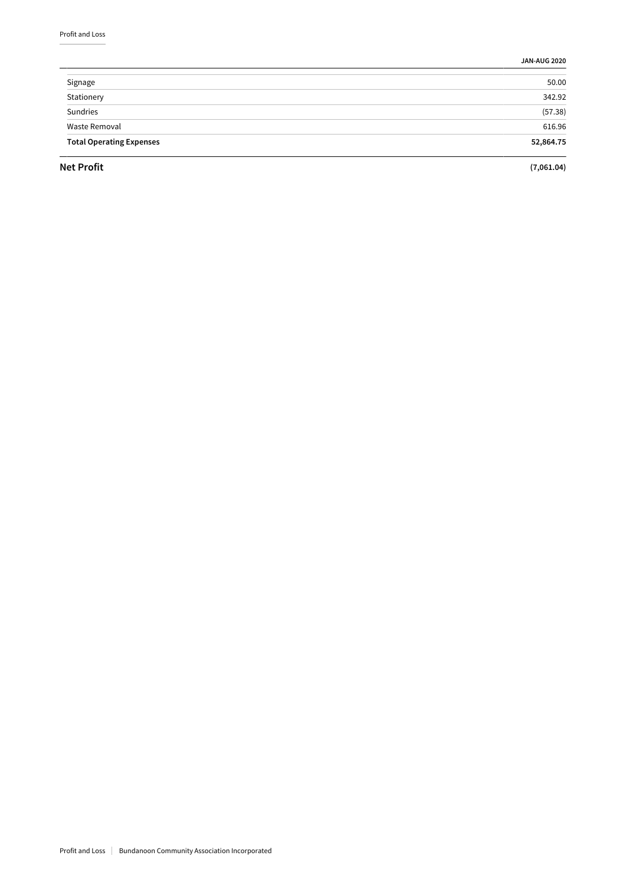**JAN-AUG 2020**

| Signage                         | 50.00     |
|---------------------------------|-----------|
| Stationery                      | 342.92    |
| Sundries                        | (57.38)   |
| Waste Removal                   | 616.96    |
| <b>Total Operating Expenses</b> | 52,864.75 |
|                                 |           |

**Net Profit (7,061.04)**

 $\overline{\phantom{a}}$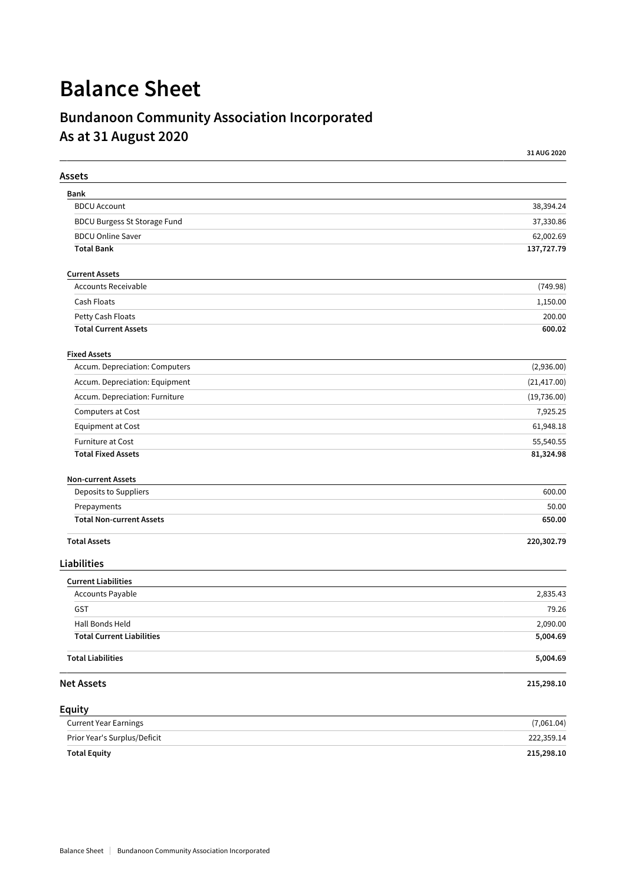# **Balance Sheet**

# **Bundanoon Community Association Incorporated As at 31 August 2020**

|                                     | 31 AUG 2020  |
|-------------------------------------|--------------|
| Assets                              |              |
| Bank                                |              |
| <b>BDCU Account</b>                 | 38,394.24    |
| <b>BDCU Burgess St Storage Fund</b> | 37,330.86    |
| <b>BDCU Online Saver</b>            | 62,002.69    |
| <b>Total Bank</b>                   | 137,727.79   |
| <b>Current Assets</b>               |              |
| <b>Accounts Receivable</b>          | (749.98)     |
| Cash Floats                         | 1,150.00     |
| Petty Cash Floats                   | 200.00       |
| <b>Total Current Assets</b>         | 600.02       |
| <b>Fixed Assets</b>                 |              |
| Accum. Depreciation: Computers      | (2,936.00)   |
| Accum. Depreciation: Equipment      | (21, 417.00) |
| Accum. Depreciation: Furniture      | (19, 736.00) |
| Computers at Cost                   | 7,925.25     |
| Equipment at Cost                   | 61,948.18    |
| <b>Furniture at Cost</b>            | 55,540.55    |
| <b>Total Fixed Assets</b>           | 81,324.98    |
| <b>Non-current Assets</b>           |              |
| Deposits to Suppliers               | 600.00       |
| Prepayments                         | 50.00        |
| <b>Total Non-current Assets</b>     | 650.00       |
| <b>Total Assets</b>                 | 220,302.79   |
| <b>Liabilities</b>                  |              |
| <b>Current Liabilities</b>          |              |
| Accounts Payable                    | 2,835.43     |
| GST                                 | 79.26        |
| Hall Bonds Held                     | 2,090.00     |
| <b>Total Current Liabilities</b>    | 5,004.69     |
| <b>Total Liabilities</b>            | 5,004.69     |
| <b>Net Assets</b>                   | 215,298.10   |
| Equity                              |              |
| <b>Current Year Earnings</b>        | (7,061.04)   |
| Prior Year's Surplus/Deficit        | 222,359.14   |

**Total Equity 215,298.10**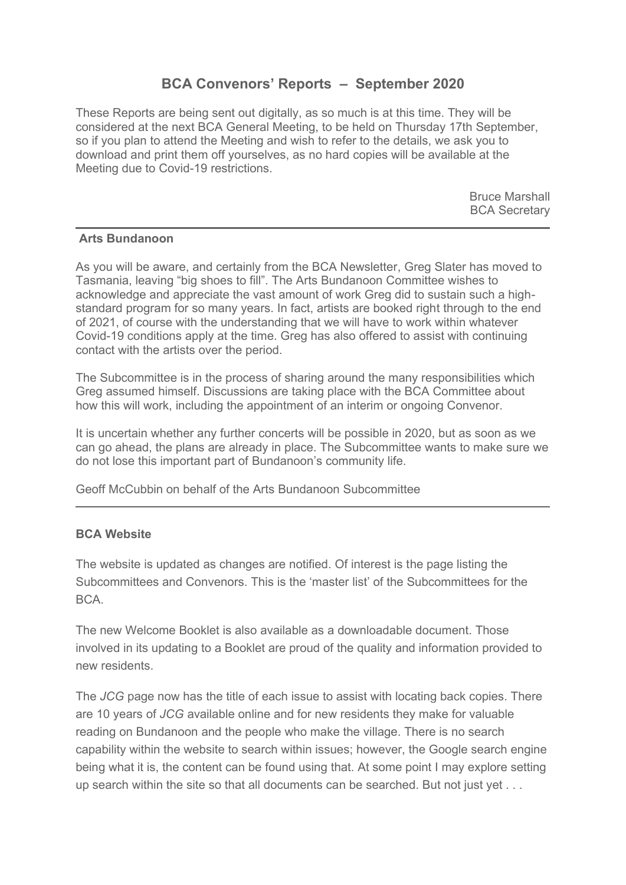## **BCA Convenors' Reports – September 2020**

These Reports are being sent out digitally, as so much is at this time. They will be considered at the next BCA General Meeting, to be held on Thursday 17th September, so if you plan to attend the Meeting and wish to refer to the details, we ask you to download and print them off yourselves, as no hard copies will be available at the Meeting due to Covid-19 restrictions.

> Bruce Marshall BCA Secretary

### **Arts Bundanoon**

As you will be aware, and certainly from the BCA Newsletter, Greg Slater has moved to Tasmania, leaving "big shoes to fill". The Arts Bundanoon Committee wishes to acknowledge and appreciate the vast amount of work Greg did to sustain such a highstandard program for so many years. In fact, artists are booked right through to the end of 2021, of course with the understanding that we will have to work within whatever Covid-19 conditions apply at the time. Greg has also offered to assist with continuing contact with the artists over the period.

The Subcommittee is in the process of sharing around the many responsibilities which Greg assumed himself. Discussions are taking place with the BCA Committee about how this will work, including the appointment of an interim or ongoing Convenor.

It is uncertain whether any further concerts will be possible in 2020, but as soon as we can go ahead, the plans are already in place. The Subcommittee wants to make sure we do not lose this important part of Bundanoon's community life.

Geoff McCubbin on behalf of the Arts Bundanoon Subcommittee

### **BCA Website**

The website is updated as changes are notified. Of interest is the page listing the Subcommittees and Convenors. This is the 'master list' of the Subcommittees for the  $RCA$ 

The new Welcome Booklet is also available as a downloadable document. Those involved in its updating to a Booklet are proud of the quality and information provided to new residents.

The *JCG* page now has the title of each issue to assist with locating back copies. There are 10 years of *JCG* available online and for new residents they make for valuable reading on Bundanoon and the people who make the village. There is no search capability within the website to search within issues; however, the Google search engine being what it is, the content can be found using that. At some point I may explore setting up search within the site so that all documents can be searched. But not just yet . . .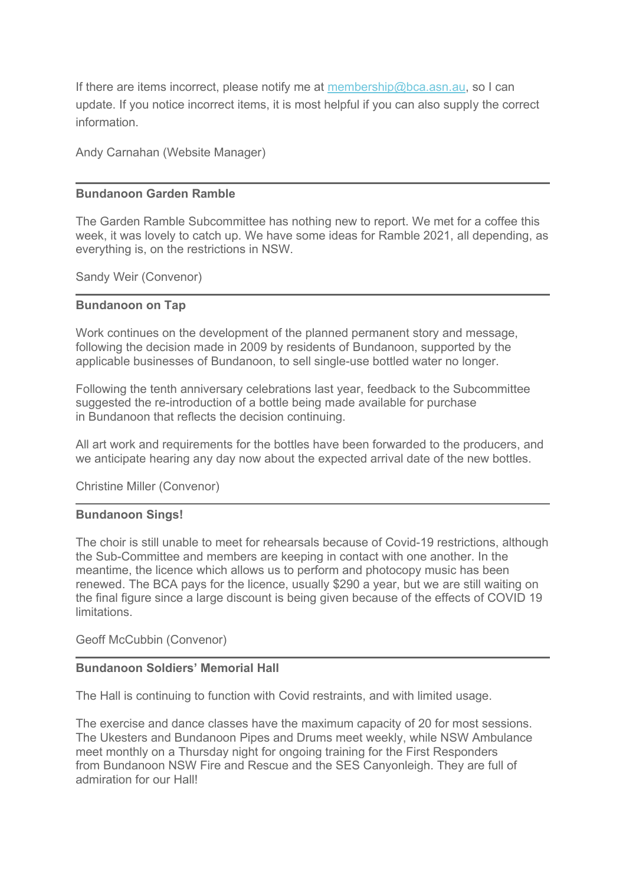If there are items incorrect, please notify me at [membership@bca.asn.au,](mailto:membership@bca.asn.au) so I can update. If you notice incorrect items, it is most helpful if you can also supply the correct information.

Andy Carnahan (Website Manager)

#### **Bundanoon Garden Ramble**

The Garden Ramble Subcommittee has nothing new to report. We met for a coffee this week, it was lovely to catch up. We have some ideas for Ramble 2021, all depending, as everything is, on the restrictions in NSW.

Sandy Weir (Convenor)

#### **Bundanoon on Tap**

Work continues on the development of the planned permanent story and message, following the decision made in 2009 by residents of Bundanoon, supported by the applicable businesses of Bundanoon, to sell single-use bottled water no longer.

Following the tenth anniversary celebrations last year, feedback to the Subcommittee suggested the re-introduction of a bottle being made available for purchase in Bundanoon that reflects the decision continuing.

All art work and requirements for the bottles have been forwarded to the producers, and we anticipate hearing any day now about the expected arrival date of the new bottles.

Christine Miller (Convenor)

#### **Bundanoon Sings!**

The choir is still unable to meet for rehearsals because of Covid-19 restrictions, although the Sub-Committee and members are keeping in contact with one another. In the meantime, the licence which allows us to perform and photocopy music has been renewed. The BCA pays for the licence, usually \$290 a year, but we are still waiting on the final figure since a large discount is being given because of the effects of COVID 19 limitations.

Geoff McCubbin (Convenor)

#### **Bundanoon Soldiers' Memorial Hall**

The Hall is continuing to function with Covid restraints, and with limited usage.

The exercise and dance classes have the maximum capacity of 20 for most sessions. The Ukesters and Bundanoon Pipes and Drums meet weekly, while NSW Ambulance meet monthly on a Thursday night for ongoing training for the First Responders from Bundanoon NSW Fire and Rescue and the SES Canyonleigh. They are full of admiration for our Hall!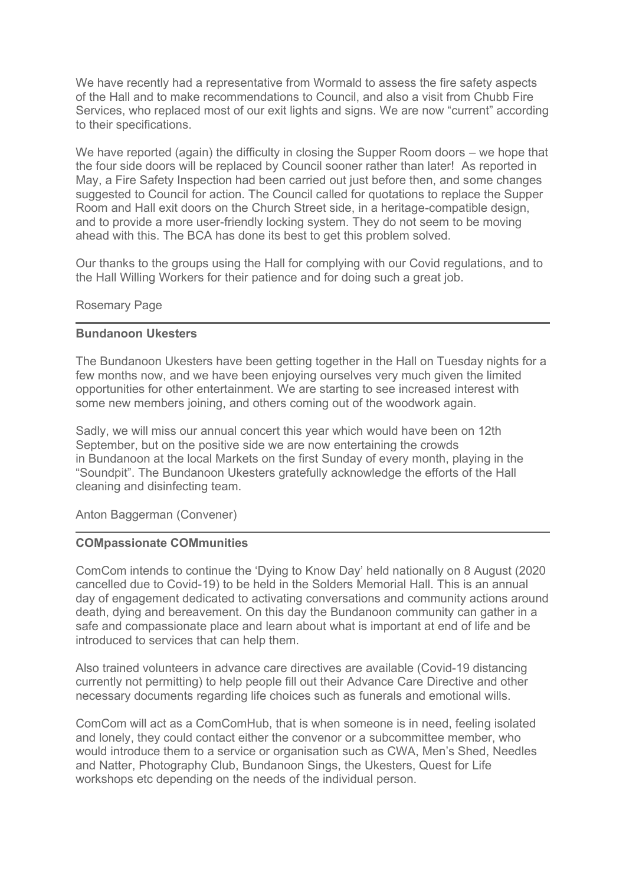We have recently had a representative from Wormald to assess the fire safety aspects of the Hall and to make recommendations to Council, and also a visit from Chubb Fire Services, who replaced most of our exit lights and signs. We are now "current" according to their specifications.

We have reported (again) the difficulty in closing the Supper Room doors – we hope that the four side doors will be replaced by Council sooner rather than later! As reported in May, a Fire Safety Inspection had been carried out just before then, and some changes suggested to Council for action. The Council called for quotations to replace the Supper Room and Hall exit doors on the Church Street side, in a heritage-compatible design, and to provide a more user-friendly locking system. They do not seem to be moving ahead with this. The BCA has done its best to get this problem solved.

Our thanks to the groups using the Hall for complying with our Covid regulations, and to the Hall Willing Workers for their patience and for doing such a great job.

#### Rosemary Page

#### **Bundanoon Ukesters**

The Bundanoon Ukesters have been getting together in the Hall on Tuesday nights for a few months now, and we have been enjoying ourselves very much given the limited opportunities for other entertainment. We are starting to see increased interest with some new members joining, and others coming out of the woodwork again.

Sadly, we will miss our annual concert this year which would have been on 12th September, but on the positive side we are now entertaining the crowds in Bundanoon at the local Markets on the first Sunday of every month, playing in the "Soundpit". The Bundanoon Ukesters gratefully acknowledge the efforts of the Hall cleaning and disinfecting team.

Anton Baggerman (Convener)

#### **COMpassionate COMmunities**

ComCom intends to continue the 'Dying to Know Day' held nationally on 8 August (2020 cancelled due to Covid-19) to be held in the Solders Memorial Hall. This is an annual day of engagement dedicated to activating conversations and community actions around death, dying and bereavement. On this day the Bundanoon community can gather in a safe and compassionate place and learn about what is important at end of life and be introduced to services that can help them.

Also trained volunteers in advance care directives are available (Covid-19 distancing currently not permitting) to help people fill out their Advance Care Directive and other necessary documents regarding life choices such as funerals and emotional wills.

ComCom will act as a ComComHub, that is when someone is in need, feeling isolated and lonely, they could contact either the convenor or a subcommittee member, who would introduce them to a service or organisation such as CWA, Men's Shed, Needles and Natter, Photography Club, Bundanoon Sings, the Ukesters, Quest for Life workshops etc depending on the needs of the individual person.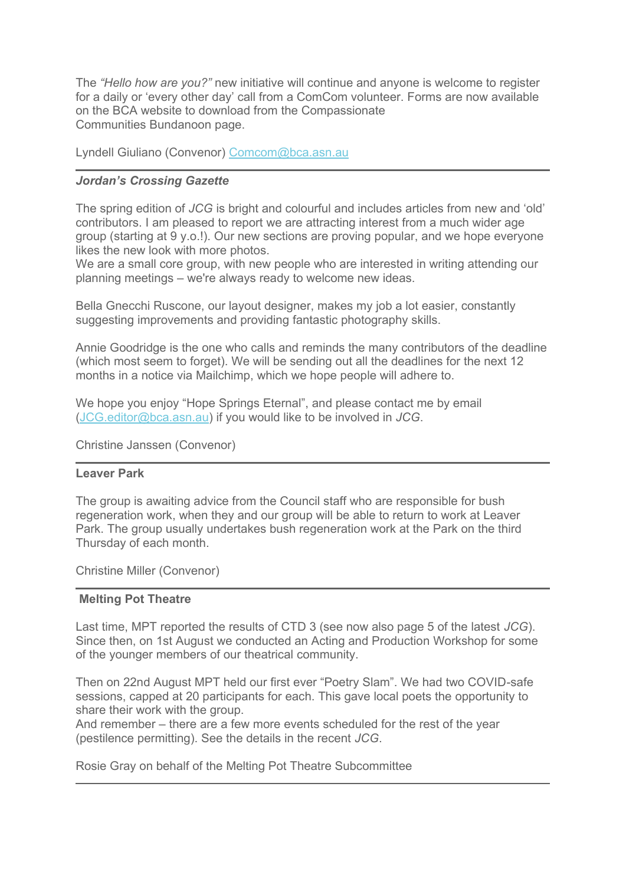The *"Hello how are you?"* new initiative will continue and anyone is welcome to register for a daily or 'every other day' call from a ComCom volunteer. Forms are now available on the BCA website to download from the Compassionate Communities Bundanoon page.

Lyndell Giuliano (Convenor) [Comcom@bca.asn.au](mailto:Comcom@bca.asn.au)

#### *Jordan's Crossing Gazette*

The spring edition of *JCG* is bright and colourful and includes articles from new and 'old' contributors. I am pleased to report we are attracting interest from a much wider age group (starting at 9 y.o.!). Our new sections are proving popular, and we hope everyone likes the new look with more photos.

We are a small core group, with new people who are interested in writing attending our planning meetings – we're always ready to welcome new ideas.

Bella Gnecchi Ruscone, our layout designer, makes my job a lot easier, constantly suggesting improvements and providing fantastic photography skills.

Annie Goodridge is the one who calls and reminds the many contributors of the deadline (which most seem to forget). We will be sending out all the deadlines for the next 12 months in a notice via Mailchimp, which we hope people will adhere to.

We hope you enjoy "Hope Springs Eternal", and please contact me by email [\(JCG.editor@bca.asn.au\)](mailto:JCG.editor@bca.asn.au) if you would like to be involved in *JCG*.

Christine Janssen (Convenor)

#### **Leaver Park**

The group is awaiting advice from the Council staff who are responsible for bush regeneration work, when they and our group will be able to return to work at Leaver Park. The group usually undertakes bush regeneration work at the Park on the third Thursday of each month.

Christine Miller (Convenor)

#### **Melting Pot Theatre**

Last time, MPT reported the results of CTD 3 (see now also page 5 of the latest *JCG*). Since then, on 1st August we conducted an Acting and Production Workshop for some of the younger members of our theatrical community.

Then on 22nd August MPT held our first ever "Poetry Slam". We had two COVID-safe sessions, capped at 20 participants for each. This gave local poets the opportunity to share their work with the group.

And remember – there are a few more events scheduled for the rest of the year (pestilence permitting). See the details in the recent *JCG*.

Rosie Gray on behalf of the Melting Pot Theatre Subcommittee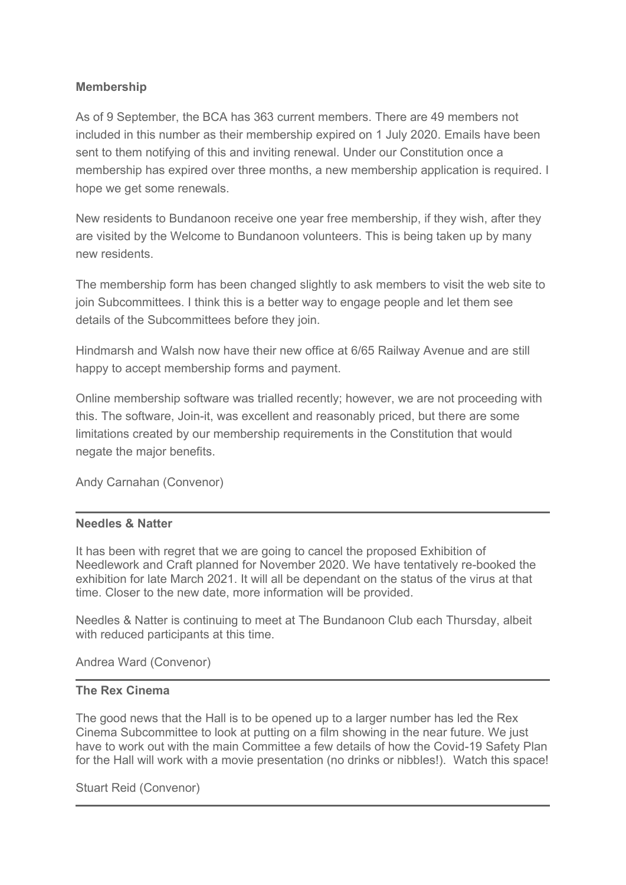## **Membership**

As of 9 September, the BCA has 363 current members. There are 49 members not included in this number as their membership expired on 1 July 2020. Emails have been sent to them notifying of this and inviting renewal. Under our Constitution once a membership has expired over three months, a new membership application is required. I hope we get some renewals.

New residents to Bundanoon receive one year free membership, if they wish, after they are visited by the Welcome to Bundanoon volunteers. This is being taken up by many new residents.

The membership form has been changed slightly to ask members to visit the web site to join Subcommittees. I think this is a better way to engage people and let them see details of the Subcommittees before they join.

Hindmarsh and Walsh now have their new office at 6/65 Railway Avenue and are still happy to accept membership forms and payment.

Online membership software was trialled recently; however, we are not proceeding with this. The software, Join-it, was excellent and reasonably priced, but there are some limitations created by our membership requirements in the Constitution that would negate the major benefits.

Andy Carnahan (Convenor)

### **Needles & Natter**

It has been with regret that we are going to cancel the proposed Exhibition of Needlework and Craft planned for November 2020. We have tentatively re-booked the exhibition for late March 2021. It will all be dependant on the status of the virus at that time. Closer to the new date, more information will be provided.

Needles & Natter is continuing to meet at The Bundanoon Club each Thursday, albeit with reduced participants at this time.

Andrea Ward (Convenor)

#### **The Rex Cinema**

The good news that the Hall is to be opened up to a larger number has led the Rex Cinema Subcommittee to look at putting on a film showing in the near future. We just have to work out with the main Committee a few details of how the Covid-19 Safety Plan for the Hall will work with a movie presentation (no drinks or nibbles!). Watch this space!

Stuart Reid (Convenor)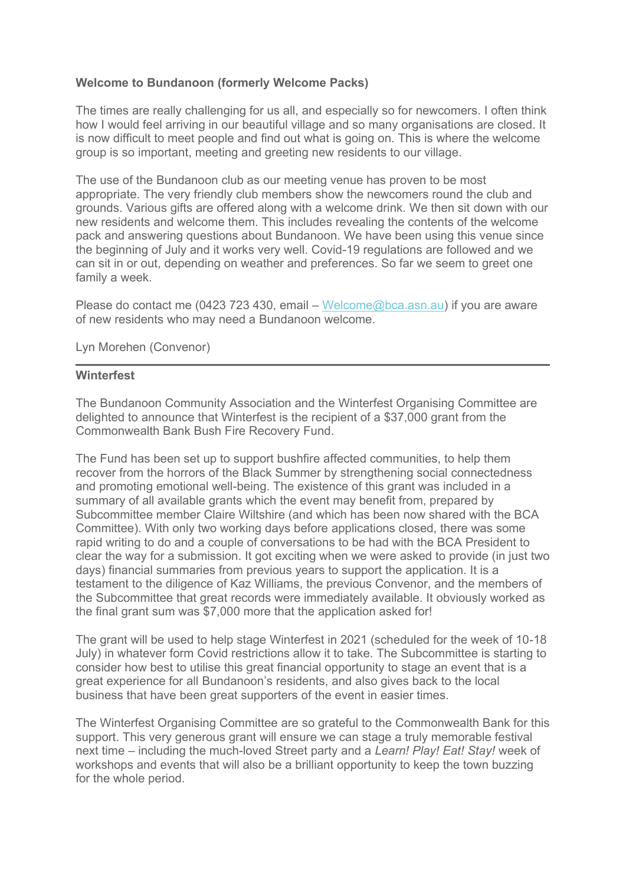#### **Welcome to Bundanoon (formerly Welcome Packs)**

The times are really challenging for us all, and especially so for newcomers. I often think how I would feel arriving in our beautiful village and so many organisations are closed. It is now difficult to meet people and find out what is going on. This is where the welcome group is so important, meeting and greeting new residents to our village.

The use of the Bundanoon club as our meeting venue has proven to be most appropriate. The very friendly club members show the newcomers round the club and grounds. Various gifts are offered along with a welcome drink. We then sit down with our new residents and welcome them. This includes revealing the contents of the welcome pack and answering questions about Bundanoon. We have been using this venue since the beginning of July and it works very well. Covid-19 regulations are followed and we can sit in or out, depending on weather and preferences. So far we seem to greet one family a week.

Please do contact me (0423 723 430, email – [Welcome@bca.asn.au\)](mailto:Welcome@bca.asn.au) if you are aware of new residents who may need a Bundanoon welcome.

Lyn Morehen (Convenor)

#### **Winterfest**

The Bundanoon Community Association and the Winterfest Organising Committee are delighted to announce that Winterfest is the recipient of a \$37,000 grant from the Commonwealth Bank Bush Fire Recovery Fund.

The Fund has been set up to support bushfire affected communities, to help them recover from the horrors of the Black Summer by strengthening social connectedness and promoting emotional well-being. The existence of this grant was included in a summary of all available grants which the event may benefit from, prepared by Subcommittee member Claire Wiltshire (and which has been now shared with the BCA Committee). With only two working days before applications closed, there was some rapid writing to do and a couple of conversations to be had with the BCA President to clear the way for a submission. It got exciting when we were asked to provide (in just two days) financial summaries from previous years to support the application. It is a testament to the diligence of Kaz Williams, the previous Convenor, and the members of the Subcommittee that great records were immediately available. It obviously worked as the final grant sum was \$7,000 more that the application asked for!

The grant will be used to help stage Winterfest in 2021 (scheduled for the week of 10-18 July) in whatever form Covid restrictions allow it to take. The Subcommittee is starting to consider how best to utilise this great financial opportunity to stage an event that is a great experience for all Bundanoon's residents, and also gives back to the local business that have been great supporters of the event in easier times.

The Winterfest Organising Committee are so grateful to the Commonwealth Bank for this support. This very generous grant will ensure we can stage a truly memorable festival next time – including the much-loved Street party and a *Learn! Play! Eat! Stay!* week of workshops and events that will also be a brilliant opportunity to keep the town buzzing for the whole period.